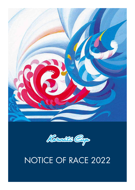



# NOTICE OF RACE 2022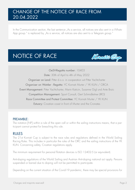### CHANGE OF THE NOTICE OF RACE FROM 20.04.2022

In the Communication section, the last sentence "As a service, all notices are also sent in a Whats-App group." is replaced by "As a service, all notices are also sent to a Telegram group."

### NOTICE OF RACE



OeSV-Regatta number: 10403 Date: 30th of April to 4th of May 2022 Organiser on Land: Pitter d.o.o. in cooperation wit Pitter Yachtcharter Organiser on Wat4er - Regatta: YC Kornati Murter / YK KUN / ORCA Event Management: Pitter Yachtcharter, Marin Katicin, Susanne Gigl und Ante Brzic Competition Management: Sport Consult, Gert Schmidleitner (IRO) Race Committee and Protest Committee: YC Kornati Murter / YK KUN Estuary: Croatian coast in front of Murter and the Cronates

#### PREAMBLE:

The notation [NP] within a rule of the open call or within the sailing instructions means, that a participant cannot protest for breaching this rule.

#### RULES

The 21st Kornati Cup is subject to the race rules and regulations defined in the World Sailing Racing Rules. This includes in particular the rules of the ORC and the sailing instructions of the YK KUN. Concerning safety, Croatian regulations apply.

The minimum requirement for personal flotation devices is ISO 12402-5 (or equivalent).

Anti-doping regulations of the World Sailing and Austrian Anti-doping national act apply. Persons suspended or barred due to doping will not be permitted to participate.

Depending on the current situation of the Covid-19 pandemic, there may be special provisions for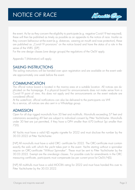

the event. As far as they concern the eligibility to participate (e.g. negative Covid-19 test required), these will then be published as timely as possible as an appendix to the notice of race. Insofar as they concern behaviour at the event (e.g. distances, wearing an mouth and nose protection), these are published as "Covid-19 provisions" on the notice board and have the status of a rule in the sense of the WRS. [DP]

For the one design classes (one design groups) the regulations of the OeSV apply.

Appendix T (Arbitration) will apply.

#### SAILING INSTRUCTIONS

The sailing instructions will be handed over upon registration and are available on the event website approximately one week before the event.

#### COMMUNICATION

The official notice board is located in the marina area at a suitable location. All notices are duplicated on the homepage. If a physical board for announcements does not make sense from a Covid-19 point of view, this does not apply and the announcements on the event website are considered official.

At the waterfront, official notifications can also be delivered to the participants via VHF. As a service, all notices are also sent in a WhatsApp group.

#### ADMISSION

Open for all slup rigged monohulls from 30 feet and multihulls. Monohulls exceeding 57 feet and catamarans exceeding 49 feet are subject to individual consent by Pitter Yachtcharter. Monohulls under 30 feet are just permitted, if they have a GPH smaller than 670 (without Spi smaller than 720).

All Yachts must have a valid HJS regatta vignette for 2022 and must disclose the number by the 30.03.2022 at Pitter Yachtcharter.

[NP] All monohulls must have a valid ORC- certificate for 2022. The ORC-certificate must contain exactly the sails with which the yacht takes part in the event. Yachts starting without a spinnaker require an ORC-certificate "Without Spinnaker". These must be sent to Pitter Yachtcharter by the 30.03.2022. Exempt are the one-design classes. For possible costs for amendments in the ORC measuring certificate, participants must compensate (as per current price list OeSV/HJS).

[NP] All multihulls must have a valid MOCRA rating for 2022 and must have handed this over to Pitter Yachtcharter by the 30.03.2022.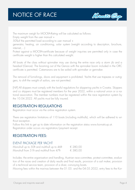# NOTICE OF RACE



The maximum weigh for MOCRA-Rating will be calculated as follows:

Empty weight from the user manual +

50%of the permitted load according to user manual +

generator, heating, air conditioning, solar system (weight according to description, brochure, internet,…)

Protest against a MOCRA-certificate because of weight inquiries are permitted only in case the certificate weight is higher than this calculated weight.

All boats of the class without spinnaker may use during the entire race only a storm jib and a headsail (Genoa). The booming out of the Genoa with the spinnaker boom included in the ORC certificate is permitted. Catamarans are to be sailed with spinnaker or gennaker.

The removal of furnishings, doors and equipment is prohibited. Yachts that use trapezes or outriggers, to shift the weight of sailors, are not permitted.

[NP] All skippers must comply with the lawful regulations for skippering yachts in Croatia. Skippers and co skippers must be registered members for the year 2022, within a national union or a national association. The member numbers must be registered within the race registration system by the 10.04.2022. All yachts must be fully insured.

#### REGISTRATION REGULATIONS

Registration must occur via the online registration system.

There are registration limitations of 110 boats (including multihulls), which will be adhered to without exception.

Follow this link to get up to date information on the registration status www.kornaticup.at. Registration order occurs via registration/payment receipt.

#### REGISTRATION FEES:

#### EVENT PACKAGE PER YACHT

| Monohull up to 50ft and multihull up to 46ft | € 280,00 |
|----------------------------------------------|----------|
| Monohull from 51ft and multihull from 47ft   | € 380,00 |

Includes: the entire organisation and handling, Austrian race committee, protest committee, evaluation of the races and creation of daily results and final results, provision of a sail maker, provision of a technical service team, provision of a diver, convoying boats.

Mooring fees within the marinas between the 01.05. and the 04.05.2022, entry fees to the Kor-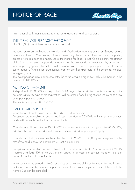

nati National park, administrative registration at authorities and port captain.

#### EVENT PACKAGE PER YACHT PARTICIPANT

EUR 310,00 (at least three persons are to be paid)

Includes: breakfast packages on Monday and Wednesday, opening dinner on Sunday, award ceremony dinner on Wednesday, dinner on event days Monday and Tuesday, varied supporting program with free beer and music, use of the marina facilities, Kornati Cup polo shirt, registration of the Participants, press support, daily reporting on the Internet, daily Kornati Cup TV, professional team of photographers - the pictures will be made available to each participant for private purposes on request. Multi-person organization team on site that takes care of the concerns. Medical emergency team.

The event package also includes the entry fee to the Croatian organizer Yacht Club Kornati in the amount of HRK 100, -.

#### METHOD OF PAYMENT

A deposit of EUR 500,00 is to be paid within 14 days of the registration. Boats, whose deposit is not paid within 30 days of the registration, will be erased from the registration list, so as to allow other participants to register.

The rest is due by the 30.03.2022.

#### CANCELLATION POLICY

Cancellation of boats before the 30.03.2022 the deposit expires.

Exceptions are cancellations due to travel restrictions due to COVID-9. In this case, the payment made will be reimbursed in form of a credit note.

Cancellations of boats after the 30.03.2022 the deposit for the event package expires ( $\in$  500,00); additionally, terms and conditions for cancellation of individual participants apply.

Cancellation of single crew members after the  $30.03.2022$ ,  $\epsilon$  100,00/person expires. For the rest of the paid money the participant will get a credit note.

Exceptions are cancellations due to travel restrictions due to COVID-19 or confirmed COVID-19 illnesses by at least 30% of the crew or the skipper. In this case, the payment made will be reimbursed in the form of a credit note.

In the event that the spread of the Corona Virus or regulations of the authorities in Austria, Slovenia or Croatia foreseeably severely impair or prevent the arrival or implementation of the event, the Kornati Cup can be cancelled.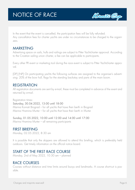

In the event that the event is cancelled, the participation fees will be fully refunded. Any cancellation fees for charter yachts are under no circumstances to be charged to the organizers.

#### MARKETING

Advertising space on sails, hulls and railings are subject to Pitter Yachtcharter approval. According to the Croatian sailing union charter, a fee can be applicable to participants.

Every other PR event or marketing tool during the race event is subject to Pitter Yachtcharter approval.

[DP] [NP] On participating yachts the following surfaces are assigned to the organiser's advertising: 20% of the bow hull, flags for the standing backstay and parts of the main boom.

#### REGISTRATION

All registration documents are sent by e-mail, these must be completed in advance of the event and returned by e-mail.

Registration times: Saturday, 30.04.2022, 13:00 until 18:00 Marina Kornati Biograd – for all yachts that have their berth in Biograd Marina Hramina Murter – for all yachts that have their berth in Murter

Sunday, 01.05.2022, 10:00 until 12:00 and 14:00 until 17:00 Marina Hramina Murter – all remaining participants

#### FIRST BRIEFING

Monday, 02.05.2022, 8:30 am

It is possible that only the skippers are allowed to attend this briefing, which is preferably held outdoors. Get timely information on the official notice board.

#### START OF THE FIRST RACE COURSE

Monday, 2nd of May 2022, 10:30 am – planned

#### RACE COURSES

Courses without distance and time limits around buoys and landmarks. A course short-cut is possible.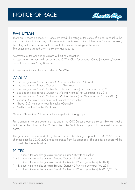

#### EVALUATION

There are 4 races planned. If 4 races are rated, the rating of the series of a boat is equal to the sum of its ratings in the races, with the exception of its worst rating. If less than 4 races are rated, the rating of the series of a boat is equal to the sum of its ratings in the races. The prizes are awarded even if only one race is sailed.

Assessment of the one-design classes without compensation.

Assessment of the monohulls according to ORC – Club Performance Curve (windward/leeward respectively Coastal/Long Distance).

Assessment of the multihulls according to MOCRA.

#### GROUPS

- one design class Bavaria Cruiser 41S mit Spinnaker (mit EPEX-Fock)
- one design class Bavaria Cruiser 41 mit Gennaker
- one design class Bavaria Cruiser 46 (Pitter Yachtcharter) mit Gennaker (job 2021)
- one design class Bavaria Cruiser 46 (Marina Hramina) mit Gennaker (job 2018)
- one design class Bavaria Cruiser 46 (Marina Hramina) mit Gennaker (job 2014/2015)
- Group ORC Dufour (with or without Spinnaker/Gennaker)
- Group ORC (with or without Spinnaker/Gennaker)
- **Multihulls with Spinnaker (MOCRA)**

Groups with less than 5 boats can be merged with other groups.

Participation in the one design classes and in the ORC Dufour group is only possible with yachts that are booked through Pitter Yachtcharter. Pitter Yachtcharter's approval is required for owner boats.

The group must be specified at registration and can be changed up to the 30.03.2022. Group changes after the 30.03.2022 need clearance from the organisers. The one-design boats will be assigned after the registration.

#### PRICES

- 1. 3. price in the one-design class Bavaria Cruiser 41S with spinnaker
- 1. 3. price in the one-design class Bavaria Cruiser 41 with gennaker
- 1. 3. price in the one-design class Bavaria Cruiser 46 PY with gennaker (job 2021)
- 1. 3. price in the one-design class Bavaria Cruiser 46 MH with gennaker (job 2018)
- 1. 3. price in the one-design class Bavaria Cruiser 46 PY with gennaker (job 2014/2015)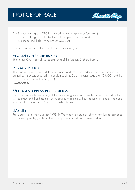# NOTICE OF RACE



- 1. 3. price in the group ORC Dufour (with or without spinnaker/gennaker)
- 1. 3. price in the group ORC (with or without spinnaker/gennaker)
- 1. 3. price for multihulls with spinnaker (MOCRA)

Blue ribbons and prices for the individual races in all groups

#### AUSTRIAN OFFSHORE TROPHY

The Kornati Cup is part of the regatta series of the Austrian Offshore Trophy.

#### PRIVACY POLICY

The processing of personal data (e.g. name, address, e-mail address or telophone number) is carried out in accordance with the guidelines of the Data Protecion Regulation (DSVGO) and the applicable Data Protection Act (DSG).

*Privacy Policy*

#### MEDIA AND PRESS RECORDINGS

Participants agree that recordings of the participating yachts and people on the water and on land will be made and that these may be transmitted or printed without restriction in image, video and sound and published on various social media channels.

#### **LIABILITY**

Participants sail at their own risk (WRS 3). The organisers are not liable for any losses, damages or injuries to people, yachts or other. This applies to situations on water and land.